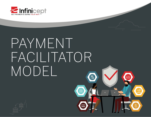

# PAYMENT FACILITATOR MODELES

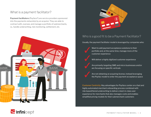# What is a payment facilitator?

**Payment facilitators** (Payfacs®) are service providers sponsored into the payments network(s) by an acquirer. They are able to contract with, oversee, and manage a portfolio of submerchants, i.e., handle underwriting, risk monitoring, settlement, etc.





# Who is a good fit to be a Payment Facilitator?

Usually, the payment facilitator model is leveraged by companies who:

 Want to add payment acceptance solutions to their portfolio and, at the same time, manage more of the customer experience

Will deliver a highly digitized customer experience

 Are primarily targeting SME and micro businesses and/or are focusing on specific verticals

 Are not obtaining an acquiring license, instead leveraging the Payfac model to enter the payment acceptance space

Customer Centricity: Key advantages for Payfacs center on a fast and highly automated merchant onboarding process combined with risk-based/tiered underwriting to deliver a best-in-class user experience for merchants that also manages costs and enables simplified pricing models for their submerchant customers

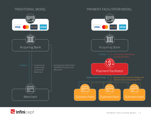# TRADITIONAL MODEL PAYMENT FACILITATOR MODEL



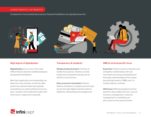# CHARACTERISTICS / KEY BENEFITS

Compared to most (traditional) acquirers, Payment Facilitators are typically known for:



# **High degree of digitalization**

**Digitalization** acts as one of the main differentiators between traditional players and payment facilitators.

Merchant application and onboarding can take only a few minutes, as the key data points are entered online and typically evaluated by an underwriting tool (versus days / weeks in the traditional model, with more forms / paperwork required).

# **Transparency & simplicity**

**Simple pricing structure:** Contrary to traditional acquirers, Payfacs provide simple and transparent pricing and an upfront cost structure.

**Easy access for merchants:** Payfacs feature an absence of paperwork and easy access through digital channels (phone/ tablet) for onboarding and management.

# **SME & vertical specific focus**

**Expertise:** Payfacs improve retention and strengthen relationships with sub merchants by having a developed and thorough understanding of the unique (processing) needs of SMEs and / or certain industry verticals

**VAS focus:** Offering targeted (verticalspecific) value-added services, such as inventory management, customer management or marketing can drive value for the submerchants.

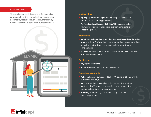# KEY FUNCTIONS

The exact responsibilities might differ depending on geography or the contractual relationship with a sponsoring acquire. Nevertheless, the following functions are usually performed by most Payfacs:



# **Underwriting**

- **Signing up and servicing merchants: Payfacs must set up** appropriate onboarding processes.
- **Performing due diligence (KYC, MATCH) on merchants:**  Payfacs need to verify and screen submerchants before onboarding them.

# **Monitoring**

- **Monitoring submerchants and their transaction activity (including**  fraud and risk): Payfacs should have appropriate measures in place to track and mitigate any risky submerchant activitiy on an ongoing basis.
- **Underwriting risk:** Payfacs are fully liable for the risks associated with their submerchants.

# **Settlement**

- **Paying** submerchants
- **Submitting** valid transactions to an acquirer

# **Compliance & Admin**

- **PCI compliance:** Payfacs need to be PCI-compliant (renewing the PCI license annually)
- **Must ensure** that submerchants that exceed \$1M in either Mastercard or Visa annual transaction volume enter into a contractual relationship with an acquirer.
- **Adhering** to all banking, card brand and government agency regulations.

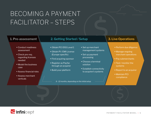# BECOMING A PAYMENT FACILITATOR – STEPS

- Conduct readiness assessment
- Check pre-req. regarding licenses needed
- Model the business case
- Assess financial risks
- Assess merchant verticals

# **1. Pre-assessment 2. Getting Started / Setup 3. Live Operations**

- Obtain PCI DSS Level 1
- Obtain PI / EMI License (Europe-specific)
- Find acquiring sponsor
- Register as Payfac through an acquirer
- Build your platform
- Set up merchant management systems
- Set up payment processing
- Choose a terminal solution
- Establish connectivity to acquirer's systems

- Perform due diligence
- Manage ongoing merchant operations
- Pay submerchants
- Test / monitor the systems
- **Report to an acquirer**
- Maintain PCI compliance

*6 - 12 months, depending on the initial setup*

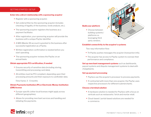# GETTING STARTED / SETUP

## **Enter into a direct relationship with a sponsoring acquirer**

- Register with a sponsoring acquirer.
- Get underwritten by the sponsoring acquirer (includes checking of legality of the business, funds analysis, etc.).
- The sponsoring acquirer registers the business as a payment facilitator.
- After registration, your sponsoring acquirer will provide the business with a unique Payfac identifier.
- A MID (Master ID) account is granted to the business after successful registration as a Payfac.
- Written registration confirmation is needed before you start operating.
- The sponsoring acquirer reviews the Payfac on an annual basis.

### **Obtain appropriate PCI certification, if needed**

- Ensures security of sensitive data (including storing, transmitting and processing card data).
- All entities must be PCI compliant, depending upon their processing amounts and their exposure to cardholder data.

 *Time frame: 3 - 5 months*

# **Obtain Payments Institution (PI) or Electronic Money Institution (EMI) license**

- Europe-specific (other local licenses might apply across different geographies).
- Allows for providing merchant services and handling and initiating the payments.

# **Build your platform**

 • Choose between building systems / platforms vs. leveraging third party vendors.



# **Establish connectivity to the acquirer's systems**

Two-way information flow:

- Th Payfac pushes messages the acquirer (transaction info).
- The acquirer has access to Payfac system to oversee their performance and compliance.

**Set up merchant management systems** such as dashboards, payout systems and dispute management systems to deal with chargebacks.

# **Set up payment processing**

- Payfacs use the acquirer's processor to process payments.
- If contracted with more than one acquirer, the Payfac uses respective processors for different submerchants.

### **Choose a terminal solution**

- A hardware solution is needed for Payfacs with a focus on verticals such as restaurants / brick and mortar retail.
- Cloud-based / portal-based solutions are needed for e-commerce.

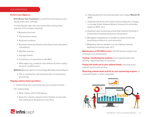# LIVE OPERATIONS

## **Perform due diligence**

 **KYC (Know Your Customer)** to verify the merchants you are taking under your umbrella.

 To help identify high-risk merchants before taking them onboard, KYC includes checking:

- Business structure
- The business owner
- Business locations
- Business financial situation (including fraud, reputation, compliance)
- Monthly volumes
- Average tickets
- Consistency of parameters with MCC
- Web pages (e.g., products sold, delivery & return policy, terms & conditions etc.)

**MATCH** (Member Alert to Control High Risk Merchants) Report

 • This is required by card networks prior to transaction processing.

#### **Ongoing submerchant operations**

a. Underwriting new merchants who are coming on board.

Tier underwriting:

- Basic checks upon initial signup.
- New info / checks requests (from Payfac) as the (sub) merchants grow (& approach new tiers).
- b. Ongoing payment processing under your unique **Master ID**  (MID).
- c. Ongoing (real-time) risk monitoring (including any changes in average ticket, delayed delivery, transaction anomalies based on MCC, etc.).
- d. Ongoing fraud monitoring, preventing fraud by blocking or proactively reviewing suspicious transactions.
- e. Managing chargebacks on behalf of submerchants (by submitting evidence to card networks).
- f. Mitigating risks as needed ( e.g., by holding reserves, applying processing caps, etc.).

**Maintenance of PCI DSS Level 1.** The PCI license needs to be renewed on an annual basis.

**Testing / monitoring the systems** on an ongoing basis and refining / adjusting these if necessary.

**Paying the funds out to your submerchants, ensuring every** submerchant is paid on time.

**Reporting submerchant activity to your sponsoring acquirer** on a quarterly basis or when requested.